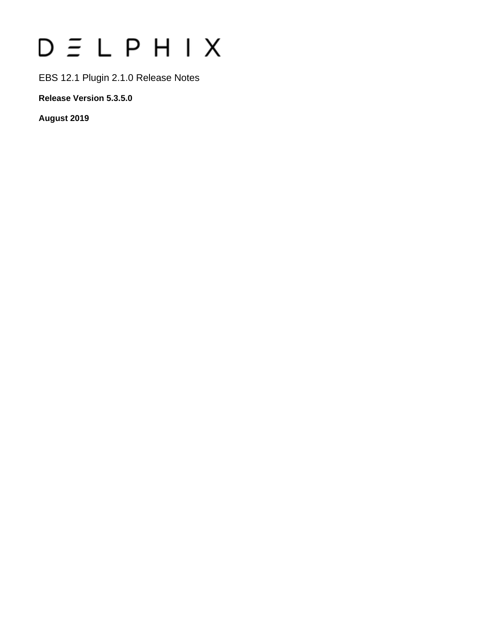# $D \subseteq L$   $P$   $H$   $I$   $X$

EBS 12.1 Plugin 2.1.0 Release Notes

**Release Version 5.3.5.0**

**August 2019**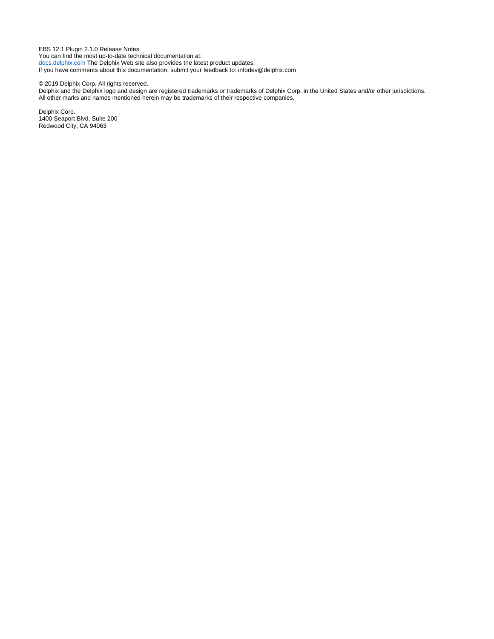EBS 12.1 Plugin 2.1.0 Release Notes You can find the most up-to-date technical documentation at: [docs.delphix.com](http://docs.delphix.com) The Delphix Web site also provides the latest product updates. If you have comments about this documentation, submit your feedback to: infodev@delphix.com

© 2019 Delphix Corp. All rights reserved.

Delphix and the Delphix logo and design are registered trademarks or trademarks of Delphix Corp. in the United States and/or other jurisdictions. All other marks and names mentioned herein may be trademarks of their respective companies.

Delphix Corp. 1400 Seaport Blvd, Suite 200 Redwood City, CA 94063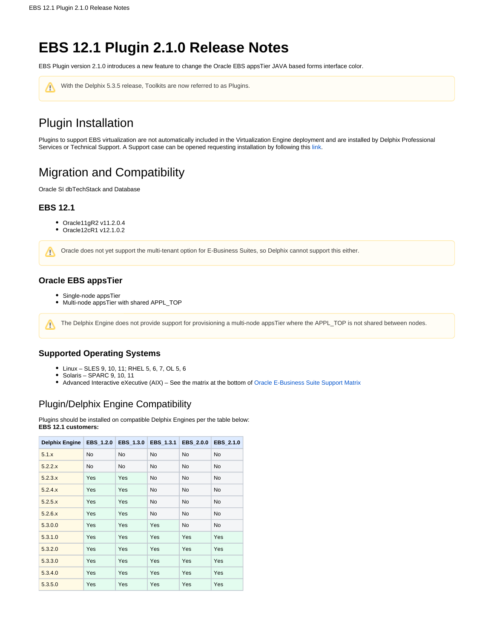# **EBS 12.1 Plugin 2.1.0 Release Notes**

EBS Plugin version 2.1.0 introduces a new feature to change the Oracle EBS appsTier JAVA based forms interface color.



# Plugin Installation

Plugins to support EBS virtualization are not automatically included in the Virtualization Engine deployment and are installed by Delphix Professional Services or Technical Support. A Support case can be opened requesting installation by following this [link](http://support-tickets.delphix.com/).

# Migration and Compatibility

Oracle SI dbTechStack and Database

## **EBS 12.1**

Λ

- Oracle11gR2 v11.2.0.4
- Oracle12cR1 v12.1.0.2

Oracle does not yet support the multi-tenant option for E-Business Suites, so Delphix cannot support this either. Δ

## **Oracle EBS appsTier**

- Single-node appsTier
- Multi-node appsTier with shared APPL\_TOP

The Delphix Engine does not provide support for provisioning a multi-node appsTier where the APPL\_TOP is not shared between nodes.

# **Supported Operating Systems**

- Linux SLES 9, 10, 11; RHEL 5, 6, 7, OL 5, 6
- $\bullet$  Solaris SPARC 9, 10, 11
- Advanced Interactive eXecutive (AIX) See the matrix at the bottom of [Oracle E-Business Suite Support Matrix](https://docs.delphix.com/display/DOCS535/Oracle+E-Business+Suite+Support+Matrix)

# Plugin/Delphix Engine Compatibility

Plugins should be installed on compatible Delphix Engines per the table below: **EBS 12.1 customers:**

| <b>Delphix Engine</b> | <b>EBS 1.2.0</b> | <b>EBS 1.3.0</b> | EBS 1.3.1 | <b>EBS 2.0.0</b> | <b>EBS 2.1.0</b> |
|-----------------------|------------------|------------------|-----------|------------------|------------------|
| 5.1.x                 | <b>No</b>        | <b>No</b>        | <b>No</b> | <b>No</b>        | <b>No</b>        |
| 5.2.2.x               | <b>No</b>        | No               | <b>No</b> | No               | <b>No</b>        |
| 5.2.3.x               | Yes              | Yes              | <b>No</b> | <b>No</b>        | <b>No</b>        |
| 5.2.4.x               | Yes              | Yes              | <b>No</b> | <b>No</b>        | <b>No</b>        |
| 5.2.5.x               | Yes              | Yes              | <b>No</b> | <b>No</b>        | No.              |
| 5.2.6.x               | Yes              | Yes              | <b>No</b> | <b>No</b>        | No.              |
| 5.3.0.0               | Yes              | Yes              | Yes       | No               | <b>No</b>        |
| 5.3.1.0               | Yes              | Yes              | Yes       | Yes              | Yes              |
| 5.3.2.0               | Yes              | Yes              | Yes       | Yes              | Yes              |
| 5.3.3.0               | Yes              | Yes              | Yes       | Yes              | Yes              |
| 5.3.4.0               | Yes              | Yes              | Yes       | Yes              | Yes              |
| 5.3.5.0               | Yes              | Yes              | Yes       | Yes              | Yes              |